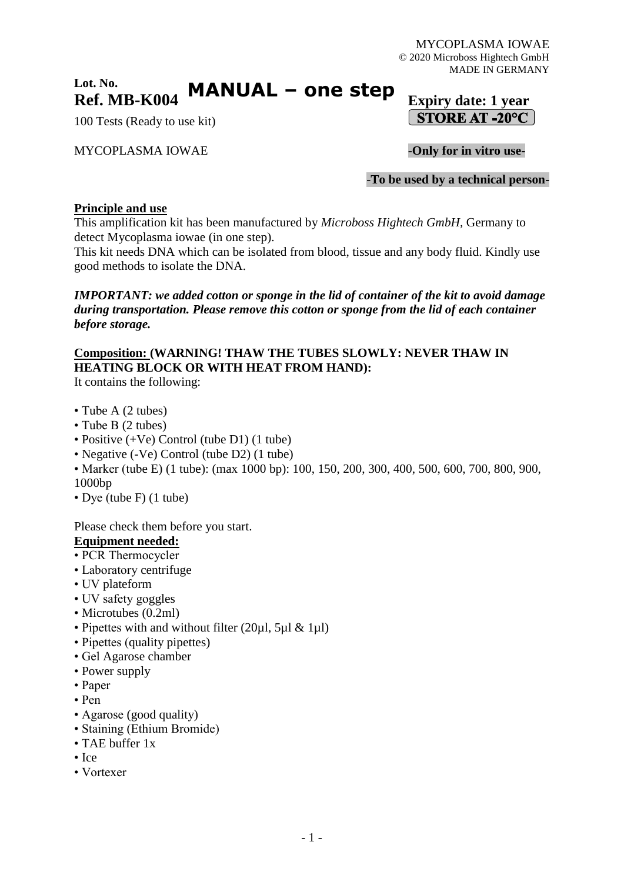#### **Lot. No. Ref. MB-K004 Expiry date:** 1 year **MANUAL – one step**

100 Tests (Ready to use kit)

### MYCOPLASMA IOWAE -**Only for in vitro use-**

STORE AT -20°C

-**To be used by a technical person-**

#### **Principle and use**

This amplification kit has been manufactured by *Microboss Hightech GmbH,* Germany to detect Mycoplasma iowae (in one step).

This kit needs DNA which can be isolated from blood, tissue and any body fluid. Kindly use good methods to isolate the DNA.

*IMPORTANT: we added cotton or sponge in the lid of container of the kit to avoid damage during transportation. Please remove this cotton or sponge from the lid of each container before storage.*

### **Composition: (WARNING! THAW THE TUBES SLOWLY: NEVER THAW IN HEATING BLOCK OR WITH HEAT FROM HAND):**

It contains the following:

- Tube A (2 tubes)
- Tube B (2 tubes)
- Positive (+Ve) Control (tube D1) (1 tube)
- Negative (-Ve) Control (tube D2) (1 tube)
- Marker (tube E) (1 tube): (max 1000 bp): 100, 150, 200, 300, 400, 500, 600, 700, 800, 900, 1000bp
- Dye (tube F) (1 tube)

Please check them before you start.

#### **Equipment needed:**

- PCR Thermocycler
- Laboratory centrifuge
- UV plateform
- UV safety goggles
- Microtubes (0.2ml)
- Pipettes with and without filter (20ul, 5ul & 1ul)
- Pipettes (quality pipettes)
- Gel Agarose chamber
- Power supply
- Paper
- Pen
- Agarose (good quality)
- Staining (Ethium Bromide)
- TAE buffer 1x
- Ice
- Vortexer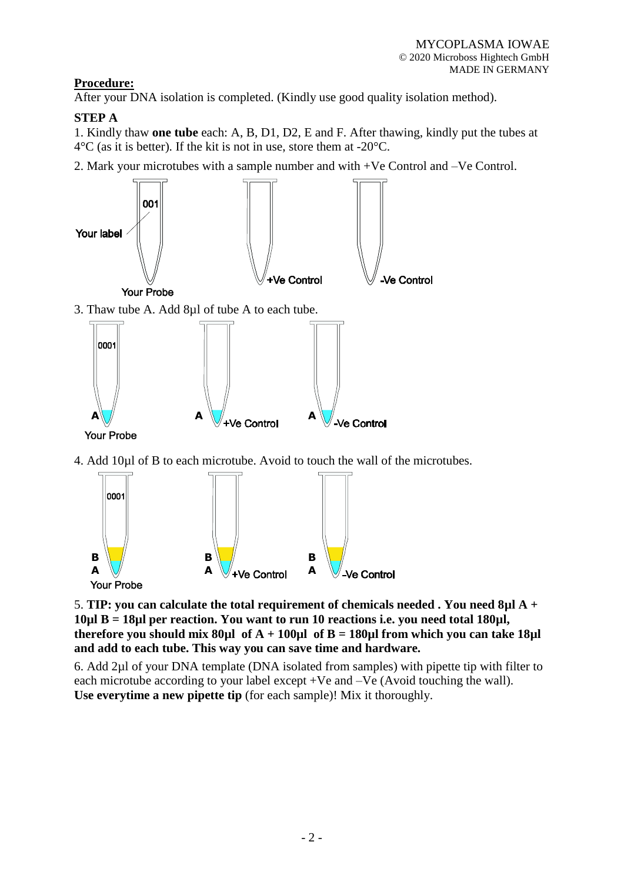# **Procedure:**

After your DNA isolation is completed. (Kindly use good quality isolation method).

# **STEP A**

1. Kindly thaw **one tube** each: A, B, D1, D2, E and F. After thawing, kindly put the tubes at  $4^{\circ}$ C (as it is better). If the kit is not in use, store them at -20 $^{\circ}$ C.

2. Mark your microtubes with a sample number and with +Ve Control and –Ve Control.





5. **TIP: you can calculate the total requirement of chemicals needed . You need 8µl A + 10µl B = 18µl per reaction. You want to run 10 reactions i.e. you need total 180µl, therefore you should mix 80**µl of  $A + 100$ µl of  $B = 180$ µl from which you can take 18µl **and add to each tube. This way you can save time and hardware.**

6. Add 2µl of your DNA template (DNA isolated from samples) with pipette tip with filter to each microtube according to your label except +Ve and –Ve (Avoid touching the wall). **Use everytime a new pipette tip** (for each sample)! Mix it thoroughly.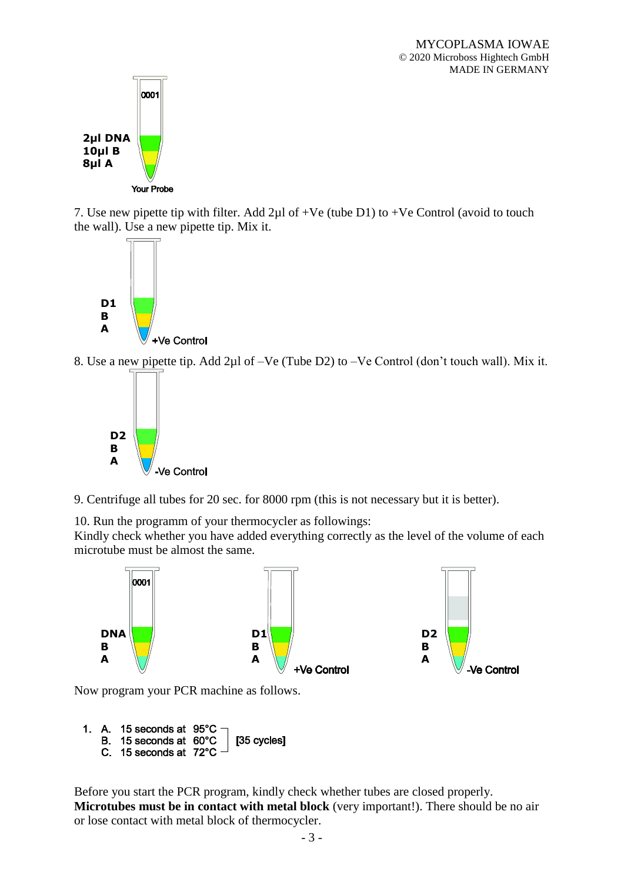

7. Use new pipette tip with filter. Add 2µl of +Ve (tube D1) to +Ve Control (avoid to touch the wall). Use a new pipette tip. Mix it.



8. Use a new pipette tip. Add 2µl of –Ve (Tube D2) to –Ve Control (don't touch wall). Mix it.



9. Centrifuge all tubes for 20 sec. for 8000 rpm (this is not necessary but it is better).

10. Run the programm of your thermocycler as followings:

Kindly check whether you have added everything correctly as the level of the volume of each microtube must be almost the same.



Now program your PCR machine as follows.

```
1. A. 15 seconds at 95°C
                         [35 cycles]
B. 15 seconds at 60°C
C. 15 seconds at 72°C
```
Before you start the PCR program, kindly check whether tubes are closed properly. **Microtubes must be in contact with metal block** (very important!). There should be no air or lose contact with metal block of thermocycler.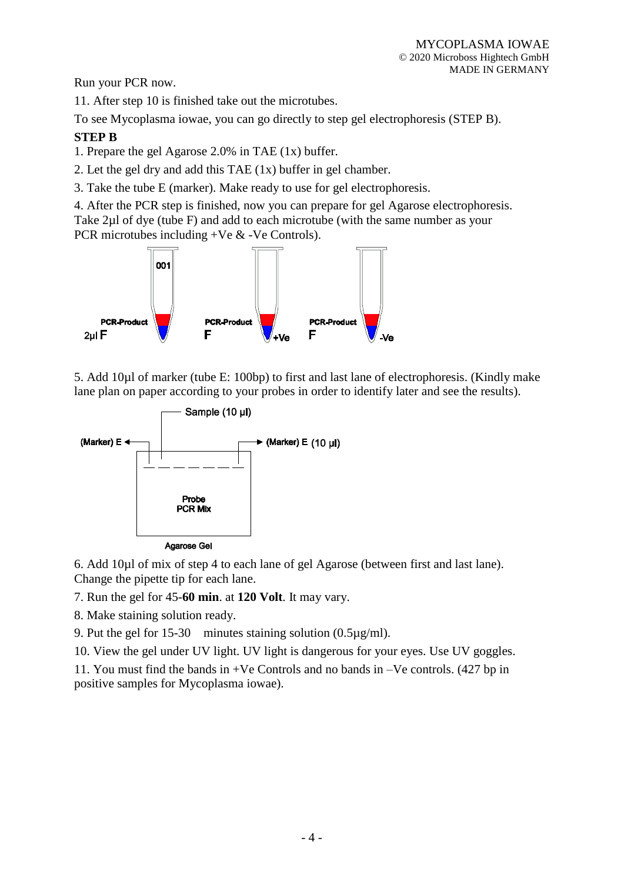Run your PCR now.

11. After step 10 is finished take out the microtubes.

To see Mycoplasma iowae, you can go directly to step gel electrophoresis (STEP B).

### **STEP B**

1. Prepare the gel Agarose 2.0% in TAE (1x) buffer.

2. Let the gel dry and add this TAE (1x) buffer in gel chamber.

3. Take the tube E (marker). Make ready to use for gel electrophoresis.

4. After the PCR step is finished, now you can prepare for gel Agarose electrophoresis. Take 2µl of dye (tube F) and add to each microtube (with the same number as your PCR microtubes including +Ve & -Ve Controls).



5. Add 10µl of marker (tube E: 100bp) to first and last lane of electrophoresis. (Kindly make lane plan on paper according to your probes in order to identify later and see the results).



6. Add 10µl of mix of step 4 to each lane of gel Agarose (between first and last lane). Change the pipette tip for each lane.

7. Run the gel for 45-**60 min**. at **120 Volt**. It may vary.

8. Make staining solution ready.

9. Put the gel for 15-30 minutes staining solution (0.5µg/ml).

10. View the gel under UV light. UV light is dangerous for your eyes. Use UV goggles.

11. You must find the bands in +Ve Controls and no bands in –Ve controls. (427 bp in positive samples for Mycoplasma iowae).